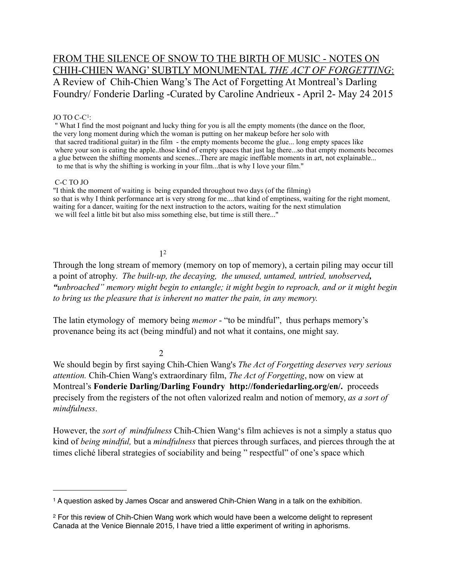# FROM THE SILENCE OF SNOW TO THE BIRTH OF MUSIC - NOTES ON CHIH-CHIEN WANG' SUBTLY MONUMENTAL *THE ACT OF FORGETTING*: A Review of Chih-Chien Wang's The Act of Forgetting At Montreal's Darling Foundry/ Fonderie Darling -Curated by Caroline Andrieux - April 2- May 24 2015

### JO TO C-C[1](#page-0-0):

 " What I find the most poignant and lucky thing for you is all the empty moments (the dance on the floor, the very long moment during which the woman is putting on her makeup before her solo with that sacred traditional guitar) in the film - the empty moments become the glue... long empty spaces like where your son is eating the apple..those kind of empty spaces that just lag there...so that empty moments becomes a glue between the shifting moments and scenes...There are magic ineffable moments in art, not explainable... to me that is why the shifting is working in your film...that is why I love your film."

### C-C TO JO

"I think the moment of waiting is being expanded throughout two days (of the filming) so that is why I think performance art is very strong for me....that kind of emptiness, waiting for the right moment, waiting for a dancer, waiting for the next instruction to the actors, waiting for the next stimulation we will feel a little bit but also miss something else, but time is still there..."

# 1[2](#page-0-1)

Through the long stream of memory (memory on top of memory), a certain piling may occur till a point of atrophy. *The built-up, the decaying, the unused, untamed, untried, unobserved, "unbroached" memory might begin to entangle; it might begin to reproach, and or it might begin to bring us the pleasure that is inherent no matter the pain, in any memory.*

The latin etymology of memory being *memor* - "to be mindful", thus perhaps memory's provenance being its act (being mindful) and not what it contains, one might say.

2

We should begin by first saying Chih-Chien Wang's *The Act of Forgetting deserves very serious attention.* Chih-Chien Wang's extraordinary film, *The Act of Forgetting*, now on view at Montreal's **Fonderie Darling/Darling Foundry http://fonderiedarling.org/en/.** proceeds precisely from the registers of the not often valorized realm and notion of memory, *as a sort of mindfulness*.

However, the *sort of mindfulness* Chih-Chien Wang's film achieves is not a simply a status quo kind of *being mindful,* but a *mindfulness* that pierces through surfaces, and pierces through the at times cliché liberal strategies of sociability and being " respectful" of one's space which

<span id="page-0-0"></span><sup>1</sup> A question asked by James Oscar and answered Chih-Chien Wang in a talk on the exhibition.

<span id="page-0-1"></span><sup>2</sup> For this review of Chih-Chien Wang work which would have been a welcome delight to represent Canada at the Venice Biennale 2015, I have tried a little experiment of writing in aphorisms.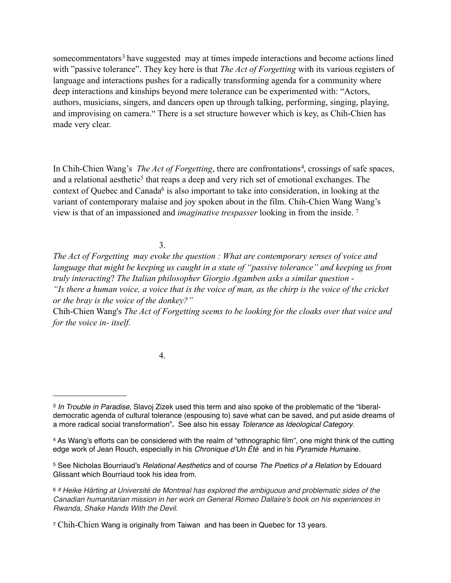somecommentators<sup>[3](#page-1-0)</sup> have suggested may at times impede interactions and become actions lined with "passive tolerance". They key here is that *The Act of Forgetting* with its various registers of language and interactions pushes for a radically transforming agenda for a community where deep interactions and kinships beyond mere tolerance can be experimented with: "Actors, authors, musicians, singers, and dancers open up through talking, performing, singing, playing, and improvising on camera." There is a set structure however which is key, as Chih-Chien has made very clear.

In Chih-Chien Wang's *The Act of Forgetting*, there are confrontations<sup>[4](#page-1-1)</sup>, crossings of safe spaces, and a relational aesthetic<sup>5</sup> that reaps a deep and very rich set of emotional exchanges. The context of Quebec and Canada<sup>6</sup> is also important to take into consideration, in looking at the variant of contemporary malaise and joy spoken about in the film. Chih-Chien Wang Wang's view is that of an impassioned and *imaginative trespasser* looking in from the inside. [7](#page-1-4)

3.

*The Act of Forgetting may evoke the question : What are contemporary senses of voice and language that might be keeping us caught in a state of "passive tolerance" and keeping us from truly interacting*? *The Italian philosopher Giorgio Agamben asks a similar question - "Is there a human voice, a voice that is the voice of man, as the chirp is the voice of the cricket or the bray is the voice of the donkey?"*

Chih-Chien Wang's *The Act of Forgetting seems to be looking for the cloaks over that voice and for the voice in- itself.* 

4.

<span id="page-1-0"></span><sup>3</sup> *In Trouble in Paradise,* Slavoj Zizek used this term and also spoke of the problematic of the "liberaldemocratic agenda of cultural tolerance (espousing to) save what can be saved, and put aside dreams of a more radical social transformation"**.** See also his essay *Tolerance as Ideological Category*.

<span id="page-1-1"></span><sup>4</sup> As Wang's efforts can be considered with the realm of "ethnographic film", one might think of the cutting edge work of Jean Rouch, especially in his *Chronique d'Un Été* and in his *Pyramide Humain*e*.* 

<span id="page-1-2"></span><sup>5</sup> See Nicholas Bourriaud's *Relational Aesthetics* and of course *The Poetics of a Relation* by Edouard Glissant which Bourriaud took his idea from.

<span id="page-1-3"></span><sup>6</sup> *6 Heike Härting at Université de Montreal has explored the ambiguous and problematic sides of the Canadian humanitarian mission in her work on General Romeo Dallaire's book on his experiences in Rwanda, Shake Hands With the Devil.*

<span id="page-1-4"></span><sup>&</sup>lt;sup>7</sup> Chih-Chien Wang is originally from Taiwan and has been in Quebec for 13 years.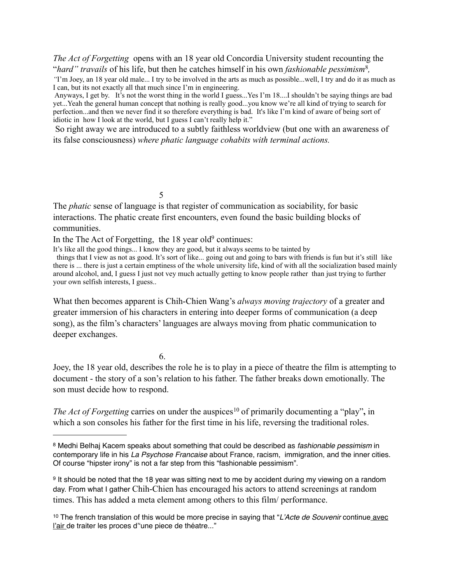*The Act of Forgetting* opens with an 18 year old Concordia University student recounting the "*hard" travails* of his life, but then he catches himself in his own *fashionable pessimism*[8](#page-2-0)*,* 

*"*I'm Joey, an 18 year old male... I try to be involved in the arts as much as possible...well, I try and do it as much as I can, but its not exactly all that much since I'm in engineering.

 Anyways, I get by. It's not the worst thing in the world I guess...Yes I'm 18....I shouldn't be saying things are bad yet...Yeah the general human concept that nothing is really good...you know we're all kind of trying to search for perfection...and then we never find it so therefore everything is bad. It's like I'm kind of aware of being sort of idiotic in how I look at the world, but I guess I can't really help it."

 So right away we are introduced to a subtly faithless worldview (but one with an awareness of its false consciousness) *where phatic language cohabits with terminal actions.* 

5

The *phatic* sense of language is that register of communication as sociability, for basic interactions. The phatic create first encounters, even found the basic building blocks of communities.

In the The Act of Forgetting, the  $18$  year old<sup>9</sup> continues:

It's like all the good things... I know they are good, but it always seems to be tainted by

 things that I view as not as good. It's sort of like... going out and going to bars with friends is fun but it's still like there is ... there is just a certain emptiness of the whole university life, kind of with all the socialization based mainly around alcohol, and, I guess I just not vey much actually getting to know people rather than just trying to further your own selfish interests, I guess..

What then becomes apparent is Chih-Chien Wang's *always moving trajectory* of a greater and greater immersion of his characters in entering into deeper forms of communication (a deep song), as the film's characters' languages are always moving from phatic communication to deeper exchanges.

6.

Joey, the 18 year old, describes the role he is to play in a piece of theatre the film is attempting to document - the story of a son's relation to his father. The father breaks down emotionally. The son must decide how to respond.

*The Act of Forgetting carries on under the auspices*<sup>10</sup> of primarily documenting a "play", in which a son consoles his father for the first time in his life, reversing the traditional roles.

<span id="page-2-1"></span>9 It should be noted that the 18 year was sitting next to me by accident during my viewing on a random day. From what I gather Chih-Chien has encouraged his actors to attend screenings at random times. This has added a meta element among others to this film/ performance.

<span id="page-2-2"></span>10 The french translation of this would be more precise in saying that "*L'Acte de Souvenir* continue avec l'air de traiter les proces d''une piece de théatre..."

<span id="page-2-0"></span><sup>8</sup> Medhi Belhaj Kacem speaks about something that could be described as *fashionable pessimism* in contemporary life in his *La Psychose Francaise* about France, racism, immigration, and the inner cities. Of course "hipster irony" is not a far step from this "fashionable pessimism".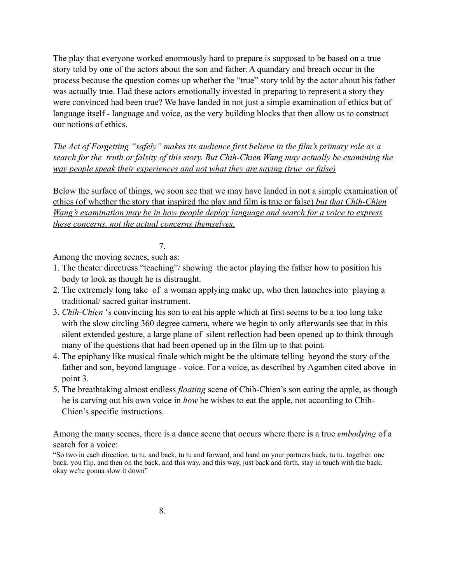The play that everyone worked enormously hard to prepare is supposed to be based on a true story told by one of the actors about the son and father. A quandary and breach occur in the process because the question comes up whether the "true" story told by the actor about his father was actually true. Had these actors emotionally invested in preparing to represent a story they were convinced had been true? We have landed in not just a simple examination of ethics but of language itself - language and voice, as the very building blocks that then allow us to construct our notions of ethics.

*The Act of Forgetting "safely" makes its audience first believe in the film's primary role as a search for the truth or falsity of this story. But Chih-Chien Wang may actually be examining the way people speak their experiences and not what they are saying (true or false)*

Below the surface of things, we soon see that we may have landed in not a simple examination of ethics (of whether the story that inspired the play and film is true or false) *but that Chih-Chien Wang's examination may be in how people deploy language and search for a voice to express these concerns, not the actual concerns themselves.* 

# 7.

Among the moving scenes, such as:

- 1. The theater directress "teaching"/ showing the actor playing the father how to position his body to look as though he is distraught.
- 2. The extremely long take of a woman applying make up, who then launches into playing a traditional/ sacred guitar instrument.
- 3. *Chih-Chien* 's convincing his son to eat his apple which at first seems to be a too long take with the slow circling 360 degree camera, where we begin to only afterwards see that in this silent extended gesture, a large plane of silent reflection had been opened up to think through many of the questions that had been opened up in the film up to that point.
- 4. The epiphany like musical finale which might be the ultimate telling beyond the story of the father and son, beyond language - voice. For a voice, as described by Agamben cited above in point 3.
- 5. The breathtaking almost endless *floating* scene of Chih-Chien's son eating the apple, as though he is carving out his own voice in *how* he wishes to eat the apple, not according to Chih-Chien's specific instructions.

Among the many scenes, there is a dance scene that occurs where there is a true *embodying* of a search for a voice:

"So two in each direction. tu tu, and back, tu tu and forward, and hand on your partners back, tu tu, together. one back. you flip, and then on the back, and this way, and this way, just back and forth, stay in touch with the back. okay we're gonna slow it down"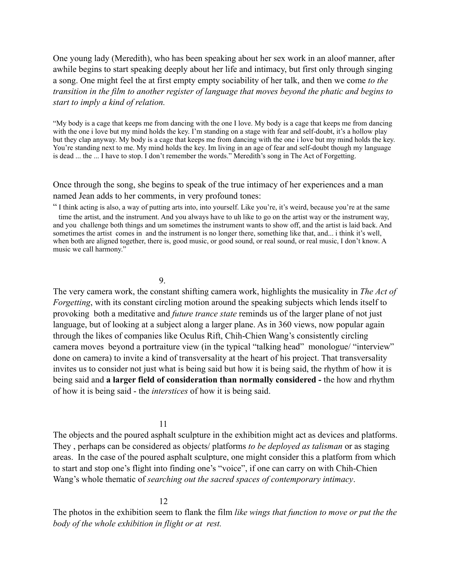One young lady (Meredith), who has been speaking about her sex work in an aloof manner, after awhile begins to start speaking deeply about her life and intimacy, but first only through singing a song. One might feel the at first empty empty sociability of her talk, and then we come *to the transition in the film to another register of language that moves beyond the phatic and begins to start to imply a kind of relation.*

"My body is a cage that keeps me from dancing with the one I love. My body is a cage that keeps me from dancing with the one i love but my mind holds the key. I'm standing on a stage with fear and self-doubt, it's a hollow play but they clap anyway. My body is a cage that keeps me from dancing with the one i love but my mind holds the key. You're standing next to me. My mind holds the key. Im living in an age of fear and self-doubt though my language is dead ... the ... I have to stop. I don't remember the words." Meredith's song in The Act of Forgetting.

Once through the song, she begins to speak of the true intimacy of her experiences and a man named Jean adds to her comments, in very profound tones:

" I think acting is also, a way of putting arts into, into yourself. Like you're, it's weird, because you're at the same time the artist, and the instrument. And you always have to uh like to go on the artist way or the instrument way, and you challenge both things and um sometimes the instrument wants to show off, and the artist is laid back. And sometimes the artist comes in and the instrument is no longer there, something like that, and... i think it's well, when both are aligned together, there is, good music, or good sound, or real sound, or real music, I don't know. A music we call harmony."

### 9.

The very camera work, the constant shifting camera work, highlights the musicality in *The Act of Forgetting*, with its constant circling motion around the speaking subjects which lends itself to provoking both a meditative and *future trance state* reminds us of the larger plane of not just language, but of looking at a subject along a larger plane. As in 360 views, now popular again through the likes of companies like Oculus Rift, Chih-Chien Wang's consistently circling camera moves beyond a portraiture view (in the typical "talking head" monologue/ "interview" done on camera) to invite a kind of transversality at the heart of his project. That transversality invites us to consider not just what is being said but how it is being said, the rhythm of how it is being said and **a larger field of consideration than normally considered -** the how and rhythm of how it is being said - the *interstices* of how it is being said.

### 11

The objects and the poured asphalt sculpture in the exhibition might act as devices and platforms. They , perhaps can be considered as objects/ platforms *to be deployed as talisman* or as staging areas. In the case of the poured asphalt sculpture, one might consider this a platform from which to start and stop one's flight into finding one's "voice", if one can carry on with Chih-Chien Wang's whole thematic of *searching out the sacred spaces of contemporary intimacy*.

## 12

The photos in the exhibition seem to flank the film *like wings that function to move or put the the body of the whole exhibition in flight or at rest.*